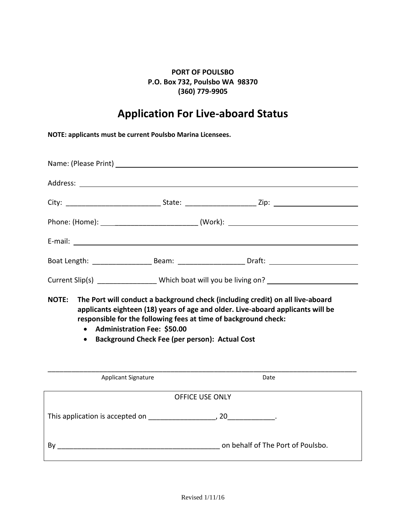## **PORT OF POULSBO P.O. Box 732, Poulsbo WA 98370 (360) 779-9905**

## **Application For Live-aboard Status**

**NOTE: applicants must be current Poulsbo Marina Licensees.**

|                                                                                                                                                                                                                                                                                                                                 |  |  | Boat Length: __________________________Beam: _________________________Draft: _________________________________ |
|---------------------------------------------------------------------------------------------------------------------------------------------------------------------------------------------------------------------------------------------------------------------------------------------------------------------------------|--|--|----------------------------------------------------------------------------------------------------------------|
| Current Slip(s) _________________Which boat will you be living on? _____________                                                                                                                                                                                                                                                |  |  |                                                                                                                |
| NOTE: The Port will conduct a background check (including credit) on all live-aboard<br>applicants eighteen (18) years of age and older. Live-aboard applicants will be<br>responsible for the following fees at time of background check:<br>• Administration Fee: \$50.00<br>• Background Check Fee (per person): Actual Cost |  |  |                                                                                                                |

| <b>Applicant Signature</b>      | Date                              |
|---------------------------------|-----------------------------------|
|                                 | <b>OFFICE USE ONLY</b>            |
| This application is accepted on | 20                                |
| Bv                              | on behalf of The Port of Poulsbo. |